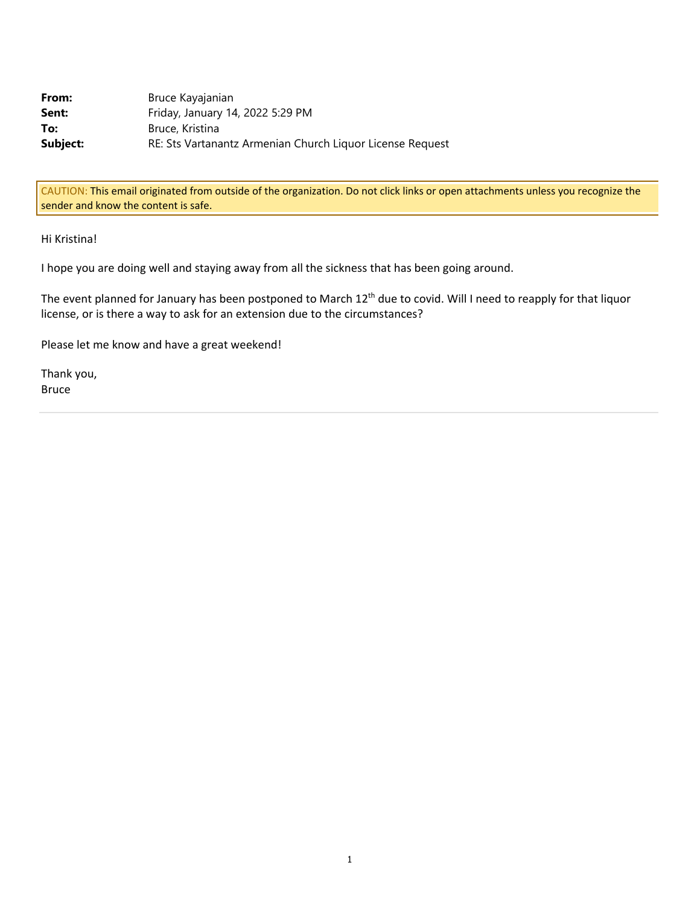| From:    | Bruce Kayajanian                                          |
|----------|-----------------------------------------------------------|
| Sent:    | Friday, January 14, 2022 5:29 PM                          |
| To:      | Bruce, Kristina                                           |
| Subject: | RE: Sts Vartanantz Armenian Church Liquor License Request |

CAUTION: This email originated from outside of the organization. Do not click links or open attachments unless you recognize the sender and know the content is safe.

## Hi Kristina!

I hope you are doing well and staying away from all the sickness that has been going around.

The event planned for January has been postponed to March 12<sup>th</sup> due to covid. Will I need to reapply for that liquor license, or is there a way to ask for an extension due to the circumstances?

Please let me know and have a great weekend!

Thank you, Bruce